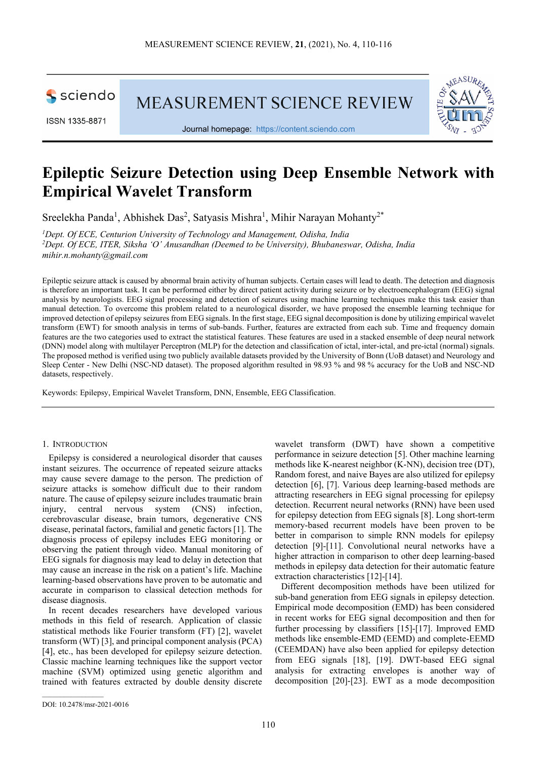sciendo

ISSN 1335-8871

MEASUREMENT SCIENCE REVIEW



Journal homepage: [https://content.sciendo.com](https://content.sciendo.com/view/journals/msr/msr-overview.xml)

# **Epileptic Seizure Detection using Deep Ensemble Network with Empirical Wavelet Transform**

Sreelekha Panda<sup>1</sup>, Abhishek Das<sup>2</sup>, Satyasis Mishra<sup>1</sup>, Mihir Narayan Mohanty<sup>2\*</sup>

*1 Dept. Of ECE, Centurion University of Technology and Management, Odisha, India 2 Dept. Of ECE, ITER, Siksha 'O' Anusandhan (Deemed to be University), Bhubaneswar, Odisha, India [mihir.n.mohanty@gmail.com](mailto:mihir.n.mohanty@gmail.com)*

Epileptic seizure attack is caused by abnormal brain activity of human subjects. Certain cases will lead to death. The detection and diagnosis is therefore an important task. It can be performed either by direct patient activity during seizure or by electroencephalogram (EEG) signal analysis by neurologists. EEG signal processing and detection of seizures using machine learning techniques make this task easier than manual detection. To overcome this problem related to a neurological disorder, we have proposed the ensemble learning technique for improved detection of epilepsy seizures from EEG signals. In the first stage, EEG signal decomposition is done by utilizing empirical wavelet transform (EWT) for smooth analysis in terms of sub-bands. Further, features are extracted from each sub. Time and frequency domain features are the two categories used to extract the statistical features. These features are used in a stacked ensemble of deep neural network (DNN) model along with multilayer Perceptron (MLP) for the detection and classification of ictal, inter-ictal, and pre-ictal (normal) signals. The proposed method is verified using two publicly available datasets provided by the University of Bonn (UoB dataset) and Neurology and Sleep Center - New Delhi (NSC-ND dataset). The proposed algorithm resulted in 98.93 % and 98 % accuracy for the UoB and NSC-ND datasets, respectively.

Keywords: Epilepsy, Empirical Wavelet Transform, DNN, Ensemble, EEG Classification.

#### 1. INTRODUCTION

Epilepsy is considered a neurological disorder that causes instant seizures. The occurrence of repeated seizure attacks may cause severe damage to the person. The prediction of seizure attacks is somehow difficult due to their random nature. The cause of epilepsy seizure includes traumatic brain injury, central nervous system (CNS) infection, cerebrovascular disease, brain tumors, degenerative CNS disease, perinatal factors, familial and genetic factors [1]. The diagnosis process of epilepsy includes EEG monitoring or observing the patient through video. Manual monitoring of EEG signals for diagnosis may lead to delay in detection that may cause an increase in the risk on a patient's life. Machine learning-based observations have proven to be automatic and accurate in comparison to classical detection methods for disease diagnosis.

In recent decades researchers have developed various methods in this field of research. Application of classic statistical methods like Fourier transform (FT) [2], wavelet transform (WT) [3], and principal component analysis (PCA) [4], etc., has been developed for epilepsy seizure detection. Classic machine learning techniques like the support vector machine (SVM) optimized using genetic algorithm and trained with features extracted by double density discrete wavelet transform (DWT) have shown a competitive performance in seizure detection [5]. Other machine learning methods like K-nearest neighbor (K-NN), decision tree (DT), Random forest, and naive Bayes are also utilized for epilepsy detection [6], [7]. Various deep learning-based methods are attracting researchers in EEG signal processing for epilepsy detection. Recurrent neural networks (RNN) have been used for epilepsy detection from EEG signals [8]. Long short-term memory-based recurrent models have been proven to be better in comparison to simple RNN models for epilepsy detection [9]-[11]. Convolutional neural networks have a higher attraction in comparison to other deep learning-based methods in epilepsy data detection for their automatic feature extraction characteristics [12]-[14].

Different decomposition methods have been utilized for sub-band generation from EEG signals in epilepsy detection. Empirical mode decomposition (EMD) has been considered in recent works for EEG signal decomposition and then for further processing by classifiers [15]-[17]. Improved EMD methods like ensemble-EMD (EEMD) and complete-EEMD (CEEMDAN) have also been applied for epilepsy detection from EEG signals [18], [19]. DWT-based EEG signal analysis for extracting envelopes is another way of decomposition [20]-[23]. EWT as a mode decomposition

 $\mathcal{L}_\text{max}$  and  $\mathcal{L}_\text{max}$  and  $\mathcal{L}_\text{max}$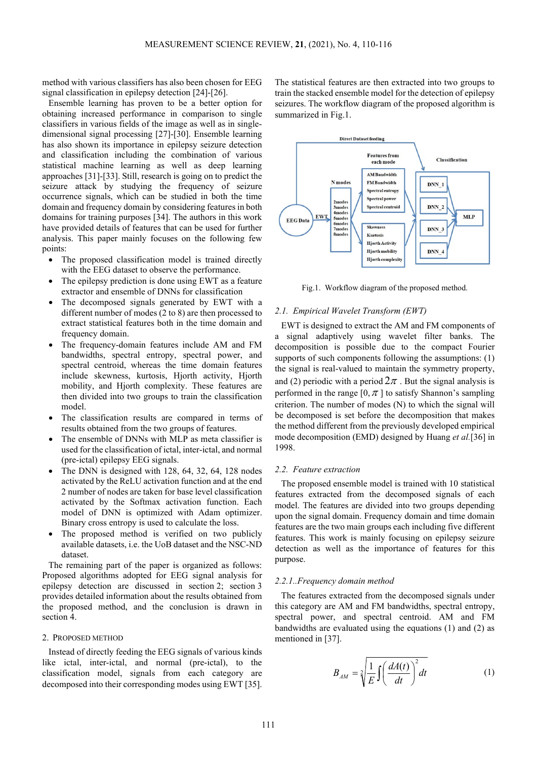method with various classifiers has also been chosen for EEG signal classification in epilepsy detection [24]-[26].

Ensemble learning has proven to be a better option for obtaining increased performance in comparison to single classifiers in various fields of the image as well as in singledimensional signal processing [27]-[30]. Ensemble learning has also shown its importance in epilepsy seizure detection and classification including the combination of various statistical machine learning as well as deep learning approaches [31]-[33]. Still, research is going on to predict the seizure attack by studying the frequency of seizure occurrence signals, which can be studied in both the time domain and frequency domain by considering features in both domains for training purposes [34]. The authors in this work have provided details of features that can be used for further analysis. This paper mainly focuses on the following few points:

- The proposed classification model is trained directly with the EEG dataset to observe the performance.
- The epilepsy prediction is done using EWT as a feature extractor and ensemble of DNNs for classification
- The decomposed signals generated by EWT with a different number of modes (2 to 8) are then processed to extract statistical features both in the time domain and frequency domain.
- The frequency-domain features include AM and FM bandwidths, spectral entropy, spectral power, and spectral centroid, whereas the time domain features include skewness, kurtosis, Hjorth activity, Hjorth mobility, and Hjorth complexity. These features are then divided into two groups to train the classification model.
- The classification results are compared in terms of results obtained from the two groups of features.
- The ensemble of DNNs with MLP as meta classifier is used for the classification of ictal, inter-ictal, and normal (pre-ictal) epilepsy EEG signals.
- The DNN is designed with  $128, 64, 32, 64, 128$  nodes activated by the ReLU activation function and at the end 2 number of nodes are taken for base level classification activated by the Softmax activation function. Each model of DNN is optimized with Adam optimizer. Binary cross entropy is used to calculate the loss.
- The proposed method is verified on two publicly available datasets, i.e. the UoB dataset and the NSC-ND dataset.

The remaining part of the paper is organized as follows: Proposed algorithms adopted for EEG signal analysis for epilepsy detection are discussed in section 2; section 3 provides detailed information about the results obtained from the proposed method, and the conclusion is drawn in section 4

#### 2. PROPOSED METHOD

Instead of directly feeding the EEG signals of various kinds like ictal, inter-ictal, and normal (pre-ictal), to the classification model, signals from each category are decomposed into their corresponding modes using EWT [35]. The statistical features are then extracted into two groups to train the stacked ensemble model for the detection of epilepsy seizures. The workflow diagram of the proposed algorithm is summarized in Fig.1.



Fig.1. Workflow diagram of the proposed method.

#### *2.1. Empirical Wavelet Transform (EWT)*

EWT is designed to extract the AM and FM components of a signal adaptively using wavelet filter banks. The decomposition is possible due to the compact Fourier supports of such components following the assumptions: (1) the signal is real-valued to maintain the symmetry property, and (2) periodic with a period  $2\pi$ . But the signal analysis is performed in the range  $[0, \pi]$  to satisfy Shannon's sampling criterion. The number of modes (N) to which the signal will be decomposed is set before the decomposition that makes the method different from the previously developed empirical mode decomposition (EMD) designed by Huang *et al.*[36] in 1998.

### *2.2. Feature extraction*

The proposed ensemble model is trained with 10 statistical features extracted from the decomposed signals of each model. The features are divided into two groups depending upon the signal domain. Frequency domain and time domain features are the two main groups each including five different features. This work is mainly focusing on epilepsy seizure detection as well as the importance of features for this purpose.

#### *2.2.1..Frequency domain method*

The features extracted from the decomposed signals under this category are AM and FM bandwidths, spectral entropy, spectral power, and spectral centroid. AM and FM bandwidths are evaluated using the equations (1) and (2) as mentioned in [37].

$$
B_{AM} = \sqrt[2]{\frac{1}{E} \int \left(\frac{dA(t)}{dt}\right)^2 dt}
$$
 (1)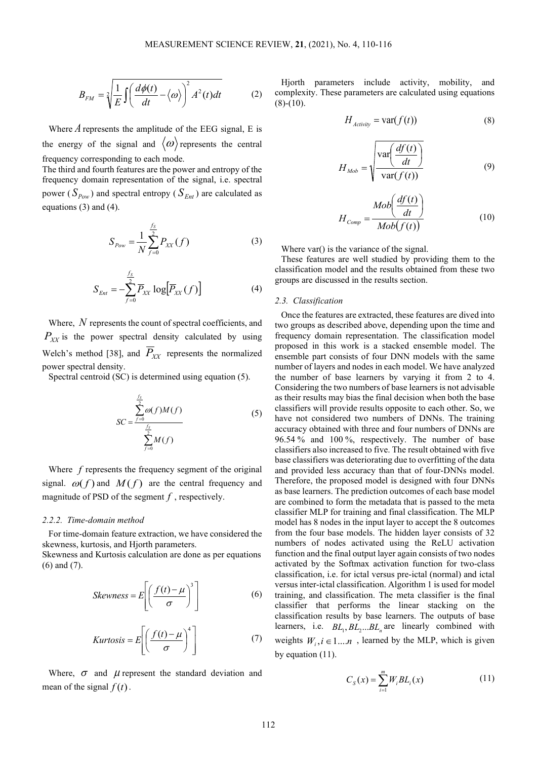$$
B_{FM} = \sqrt[2]{\frac{1}{E} \int \left(\frac{d\phi(t)}{dt} - \langle \omega \rangle\right)^2 A^2(t) dt}
$$
 (2)

Where  $\vec{A}$  represents the amplitude of the EEG signal, E is the energy of the signal and  $\langle \omega \rangle$  represents the central frequency corresponding to each mode.

The third and fourth features are the power and entropy of the frequency domain representation of the signal, i.e. spectral power ( $S_{Pow}$ ) and spectral entropy ( $S_{Ent}$ ) are calculated as equations (3) and (4).

$$
S_{Pow} = \frac{1}{N} \sum_{f=0}^{\frac{f_s}{2}} P_{XX}(f)
$$
 (3)

$$
S_{Ent} = -\sum_{f=0}^{\frac{f_S}{2}} \overline{P}_{XX} \log \left[ \overline{P}_{XX}(f) \right]
$$
 (4)

Where, *N* represents the count of spectral coefficients, and  $P_{XY}$  is the power spectral density calculated by using Welch's method [38], and  $\overline{P}_{XX}$  represents the normalized power spectral density.

Spectral centroid (SC) is determined using equation (5).

$$
SC = \frac{\sum_{f=0}^{f_s} \omega(f)M(f)}{\sum_{f=0}^{f_s} M(f)}
$$
(5)

Where *f* represents the frequency segment of the original signal.  $\omega(f)$  and  $M(f)$  are the central frequency and magnitude of PSD of the segment *f* , respectively.

#### *2.2.2. Time-domain method*

For time-domain feature extraction, we have considered the skewness, kurtosis, and Hjorth parameters.

Skewness and Kurtosis calculation are done as per equations (6) and (7).

$$
Skewness = E\left[\left(\frac{f(t) - \mu}{\sigma}\right)^3\right]
$$
 (6)

$$
Kurtosis = E\left[\left(\frac{f(t) - \mu}{\sigma}\right)^4\right]
$$
 (7)

Where,  $\sigma$  and  $\mu$  represent the standard deviation and mean of the signal  $f(t)$ .

Hjorth parameters include activity, mobility, and complexity. These parameters are calculated using equations  $(8)-(10)$ .

$$
H_{\text{Activity}} = \text{var}(f(t))\tag{8}
$$

$$
H_{Mob} = \sqrt{\frac{\text{var}\left(\frac{df(t)}{dt}\right)}{\text{var}(f(t))}}
$$
(9)

$$
H_{Comp} = \frac{Mob\left(\frac{df(t)}{dt}\right)}{Mob(f(t))}
$$
(10)

Where var() is the variance of the signal.

These features are well studied by providing them to the classification model and the results obtained from these two groups are discussed in the results section.

#### *2.3. Classification*

Once the features are extracted, these features are dived into two groups as described above, depending upon the time and frequency domain representation. The classification model proposed in this work is a stacked ensemble model. The ensemble part consists of four DNN models with the same number of layers and nodes in each model. We have analyzed the number of base learners by varying it from 2 to 4. Considering the two numbers of base learners is not advisable as their results may bias the final decision when both the base classifiers will provide results opposite to each other. So, we have not considered two numbers of DNNs. The training accuracy obtained with three and four numbers of DNNs are 96.54 % and 100 %, respectively. The number of base classifiers also increased to five. The result obtained with five base classifiers was deteriorating due to overfitting of the data and provided less accuracy than that of four-DNNs model. Therefore, the proposed model is designed with four DNNs as base learners. The prediction outcomes of each base model are combined to form the metadata that is passed to the meta classifier MLP for training and final classification. The MLP model has 8 nodes in the input layer to accept the 8 outcomes from the four base models. The hidden layer consists of 32 numbers of nodes activated using the ReLU activation function and the final output layer again consists of two nodes activated by the Softmax activation function for two-class classification, i.e. for ictal versus pre-ictal (normal) and ictal versus inter-ictal classification. Algorithm 1 is used for model training, and classification. The meta classifier is the final classifier that performs the linear stacking on the classification results by base learners. The outputs of base learners, i.e.  $BL_1, BL_2, ... BL_n$  are linearly combined with weights  $W_i, i \in 1...n$ , learned by the MLP, which is given by equation (11).

$$
C_{S}(x) = \sum_{i=1}^{m} W_{i} BL_{i}(x)
$$
 (11)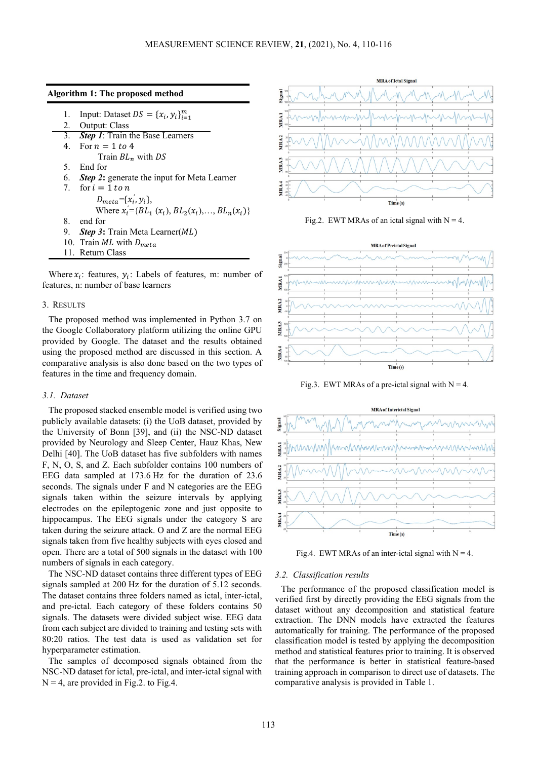| 1. | Input: Dataset $DS = \{x_i, y_i\}_{i=1}^m$         |
|----|----------------------------------------------------|
|    | 2. Output: Class                                   |
|    | 3. Step 1: Train the Base Learners                 |
|    | 4. For $n = 1$ to 4                                |
|    | Train $BL_n$ with DS                               |
|    | 5. End for                                         |
|    | 6. Step 2: generate the input for Meta Learner     |
|    | 7 for $i = 1$ to n                                 |
|    | $D_{meta} = \{x_i, y_i\},\$                        |
|    | Where $x'_i = {BL_1(x_i), BL_2(x_i), , BL_n(x_i)}$ |
|    | 8. end for                                         |
|    | 9. Step 3: Train Meta Learner(ML)                  |
|    | 10. Train ML with $D_{meta}$                       |
|    | 11. Return Class                                   |

**Algorithm 1: The proposed method**

Where  $x_i$ : features,  $y_i$ : Labels of features, m: number of features, n: number of base learners

#### 3. RESULTS

The proposed method was implemented in Python 3.7 on the Google Collaboratory platform utilizing the online GPU provided by Google. The dataset and the results obtained using the proposed method are discussed in this section. A comparative analysis is also done based on the two types of features in the time and frequency domain.

#### *3.1. Dataset*

The proposed stacked ensemble model is verified using two publicly available datasets: (i) the UoB dataset, provided by the University of Bonn [39], and (ii) the NSC-ND dataset provided by Neurology and Sleep Center, Hauz Khas, New Delhi [40]. The UoB dataset has five subfolders with names F, N, O, S, and Z. Each subfolder contains 100 numbers of EEG data sampled at 173.6 Hz for the duration of 23.6 seconds. The signals under F and N categories are the EEG signals taken within the seizure intervals by applying electrodes on the epileptogenic zone and just opposite to hippocampus. The EEG signals under the category S are taken during the seizure attack. O and Z are the normal EEG signals taken from five healthy subjects with eyes closed and open. There are a total of 500 signals in the dataset with 100 numbers of signals in each category.

The NSC-ND dataset contains three different types of EEG signals sampled at 200 Hz for the duration of 5.12 seconds. The dataset contains three folders named as ictal, inter-ictal, and pre-ictal. Each category of these folders contains 50 signals. The datasets were divided subject wise. EEG data from each subject are divided to training and testing sets with 80:20 ratios. The test data is used as validation set for hyperparameter estimation.

The samples of decomposed signals obtained from the NSC-ND dataset for ictal, pre-ictal, and inter-ictal signal with  $N = 4$ , are provided in Fig.2. to Fig.4.



Fig.2. EWT MRAs of an ictal signal with  $N = 4$ .



Fig.3. EWT MRAs of a pre-ictal signal with  $N = 4$ .



Fig.4. EWT MRAs of an inter-ictal signal with  $N = 4$ .

#### *3.2. Classification results*

The performance of the proposed classification model is verified first by directly providing the EEG signals from the dataset without any decomposition and statistical feature extraction. The DNN models have extracted the features automatically for training. The performance of the proposed classification model is tested by applying the decomposition method and statistical features prior to training. It is observed that the performance is better in statistical feature-based training approach in comparison to direct use of datasets. The comparative analysis is provided in Table 1.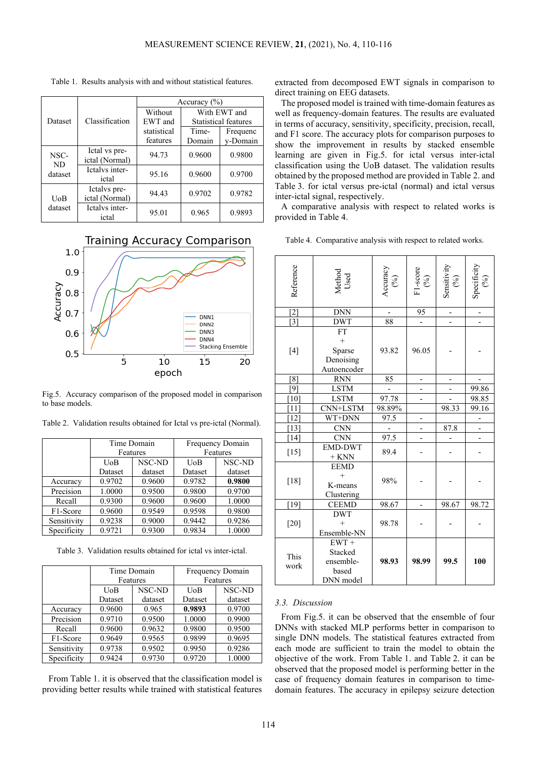|            |                                 | Accuracy $(\% )$ |                             |          |  |
|------------|---------------------------------|------------------|-----------------------------|----------|--|
|            | Classification                  | Without          | With EWT and                |          |  |
| Dataset    |                                 | EWT and          | <b>Statistical features</b> |          |  |
|            |                                 | statistical      | Time-                       | Frequenc |  |
|            |                                 | features         | Domain                      | v-Domain |  |
| NSC-<br>ND | Ictal vs pre-<br>ictal (Normal) | 94.73            | 0.9600                      | 0.9800   |  |
| dataset    | Ictalys inter-<br>ictal         | 95.16            | 0.9600                      | 0.9700   |  |
| UoB        | Ictalys pre-<br>ictal (Normal)  | 94.43            | 0.9702                      | 0.9782   |  |
| dataset    | Ictalys inter-<br>ictal         | 95.01            | 0.965                       | 0.9893   |  |

Table 1. Results analysis with and without statistical features.

## **Training Accuracy Comparison**



Fig.5. Accuracy comparison of the proposed model in comparison to base models.

|                       | Time Domain        |        | Frequency Domain |         |  |
|-----------------------|--------------------|--------|------------------|---------|--|
|                       | Features           |        | Features         |         |  |
|                       | NSC-ND<br>UoB      |        | UoB              | NSC-ND  |  |
|                       | dataset<br>Dataset |        | Dataset          | dataset |  |
| Accuracy              | 0.9702             | 0.9600 | 0.9782           | 0.9800  |  |
| Precision             | 1.0000             | 0.9500 | 0.9800           | 0.9700  |  |
| Recall                | 0.9300             | 0.9600 | 0.9600           | 1.0000  |  |
| F <sub>1</sub> -Score | 0.9600             | 0.9549 | 0.9598           | 0.9800  |  |
| Sensitivity           | 0.9238             | 0.9000 | 0.9442           | 0.9286  |  |
| Specificity           | 0.9721             | 0.9300 | 0.9834           | 1.0000  |  |

Table 2. Validation results obtained for Ictal vs pre-ictal (Normal).

Table 3. Validation results obtained for ictal vs inter-ictal.

|             | Time Domain        |        | Frequency Domain |         |  |
|-------------|--------------------|--------|------------------|---------|--|
|             | Features           |        | Features         |         |  |
|             | NSC-ND<br>UoB      |        | UoB              | NSC-ND  |  |
|             | dataset<br>Dataset |        | Dataset          | dataset |  |
| Accuracy    | 0.9600             | 0.965  | 0.9893           | 0.9700  |  |
| Precision   | 0.9710             | 0.9500 | 1.0000           | 0.9900  |  |
| Recall      | 0.9600             | 0.9632 | 0.9800           | 0.9500  |  |
| F1-Score    | 0.9649             | 0.9565 | 0.9899           | 0.9695  |  |
| Sensitivity | 0.9738             | 0.9502 | 0.9950           | 0.9286  |  |
| Specificity | 0.9424             | 0.9730 | 0.9720           | 1.0000  |  |

From Table 1. it is observed that the classification model is providing better results while trained with statistical features extracted from decomposed EWT signals in comparison to direct training on EEG datasets.

The proposed model is trained with time-domain features as well as frequency-domain features. The results are evaluated in terms of accuracy, sensitivity, specificity, precision, recall, and F1 score. The accuracy plots for comparison purposes to show the improvement in results by stacked ensemble learning are given in Fig.5. for ictal versus inter-ictal classification using the UoB dataset. The validation results obtained by the proposed method are provided in Table 2. and Table 3. for ictal versus pre-ictal (normal) and ictal versus inter-ictal signal, respectively.

A comparative analysis with respect to related works is provided in Table 4.

|  | Table 4. Comparative analysis with respect to related works. |  |  |  |  |  |
|--|--------------------------------------------------------------|--|--|--|--|--|
|--|--------------------------------------------------------------|--|--|--|--|--|

| Reference          | Method<br>Used                                            | Accuracy<br>$(96)$ | F1-score<br>$\binom{96}{0}$ | Sensitivity<br>(%) | Specificity<br>$\mathcal{S}$ |
|--------------------|-----------------------------------------------------------|--------------------|-----------------------------|--------------------|------------------------------|
| $[2]$              | <b>DNN</b>                                                |                    | 95                          |                    |                              |
| $\overline{3}$     | <b>DWT</b>                                                | 88                 |                             |                    |                              |
| $[4]$              | <b>FT</b><br>$^{+}$<br>Sparse<br>Denoising<br>Autoencoder | 93.82              | 96.05                       |                    |                              |
| [8]                | <b>RNN</b>                                                | 85                 | -                           | -                  |                              |
| [9]                | <b>LSTM</b>                                               |                    |                             |                    | 99.86                        |
| $[10]$             | <b>LSTM</b>                                               | 97.78              |                             |                    | 98.85                        |
| $[11]$             | CNN+LSTM                                                  | 98.89%             |                             | 98.33              | 99.16                        |
| $\lceil 12 \rceil$ | WT+DNN                                                    | 97.5               | -                           |                    | $\overline{\phantom{a}}$     |
| $[13]$             | <b>CNN</b>                                                |                    |                             | 87.8               |                              |
| [14]               | <b>CNN</b>                                                | 97.5               |                             |                    |                              |
| $[15]$             | <b>EMD-DWT</b><br>$+$ KNN                                 | 89.4               |                             |                    |                              |
| $[18]$             | <b>EEMD</b><br>$\ddot{}$<br>K-means<br>Clustering         | 98%                |                             |                    |                              |
| $[19]$             | <b>CEEMD</b>                                              | 98.67              |                             | 98.67              | 98.72                        |
| $[20]$             | <b>DWT</b><br>$\ddot{}$<br>Ensemble-NN                    | 98.78              |                             |                    |                              |
| This<br>work       | $EWT +$<br>Stacked<br>ensemble-<br>based<br>DNN model     | 98.93              | 98.99                       | 99.5               | 100                          |

#### *3.3. Discussion*

From Fig.5. it can be observed that the ensemble of four DNNs with stacked MLP performs better in comparison to single DNN models. The statistical features extracted from each mode are sufficient to train the model to obtain the objective of the work. From Table 1. and Table 2. it can be observed that the proposed model is performing better in the case of frequency domain features in comparison to timedomain features. The accuracy in epilepsy seizure detection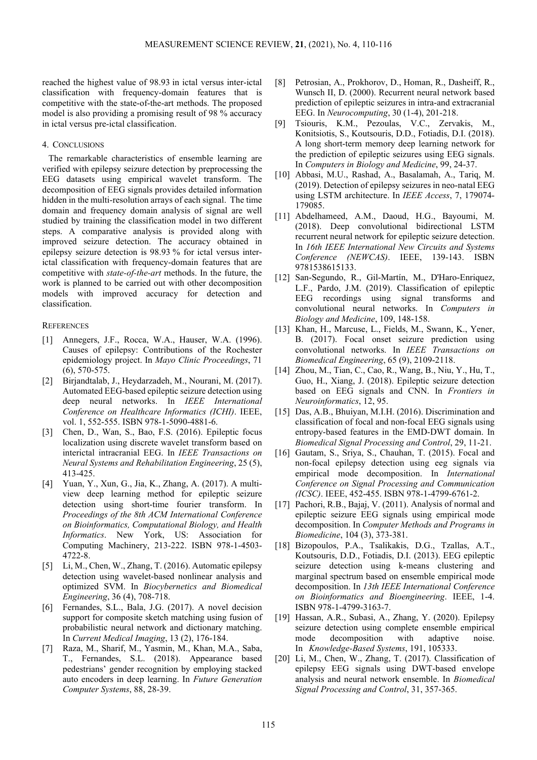reached the highest value of 98.93 in ictal versus inter-ictal classification with frequency-domain features that is competitive with the state-of-the-art methods. The proposed model is also providing a promising result of 98 % accuracy in ictal versus pre-ictal classification.

#### 4. CONCLUSIONS

The remarkable characteristics of ensemble learning are verified with epilepsy seizure detection by preprocessing the EEG datasets using empirical wavelet transform. The decomposition of EEG signals provides detailed information hidden in the multi-resolution arrays of each signal. The time domain and frequency domain analysis of signal are well studied by training the classification model in two different steps. A comparative analysis is provided along with improved seizure detection. The accuracy obtained in epilepsy seizure detection is 98.93 % for ictal versus interictal classification with frequency-domain features that are competitive with *state-of-the-art* methods. In the future, the work is planned to be carried out with other decomposition models with improved accuracy for detection and classification.

#### **REFERENCES**

- [1] Annegers, J.F., Rocca, W.A., Hauser, W.A. (1996). Causes of epilepsy: Contributions of the Rochester epidemiology project. In *Mayo Clinic Proceedings*, 71 (6), 570-575.
- [2] Birjandtalab, J., Heydarzadeh, M., Nourani, M. (2017). Automated EEG-based epileptic seizure detection using deep neural networks. In *IEEE International Conference on Healthcare Informatics (ICHI)*. IEEE, vol. 1, 552-555. ISBN 978-1-5090-4881-6.
- [3] Chen, D., Wan, S., Bao, F.S. (2016). Epileptic focus localization using discrete wavelet transform based on interictal intracranial EEG. In *IEEE Transactions on Neural Systems and Rehabilitation Engineering*, 25 (5), 413-425.
- [4] Yuan, Y., Xun, G., Jia, K., Zhang, A. (2017). A multiview deep learning method for epileptic seizure detection using short-time fourier transform. In *Proceedings of the 8th ACM International Conference on Bioinformatics, Computational Biology, and Health Informatics*. New York, US: Association for Computing Machinery, 213-222. ISBN 978-1-4503- 4722-8.
- [5] Li, M., Chen, W., Zhang, T. (2016). Automatic epilepsy detection using wavelet-based nonlinear analysis and optimized SVM. In *Biocybernetics and Biomedical Engineering*, 36 (4), 708-718.
- [6] Fernandes, S.L., Bala, J.G. (2017). A novel decision support for composite sketch matching using fusion of probabilistic neural network and dictionary matching. In *Current Medical Imaging*, 13 (2), 176-184.
- [7] Raza, M., Sharif, M., Yasmin, M., Khan, M.A., Saba, T., Fernandes, S.L. (2018). Appearance based pedestrians' gender recognition by employing stacked auto encoders in deep learning. In *Future Generation Computer Systems*, 88, 28-39.
- [8] Petrosian, A., Prokhorov, D., Homan, R., Dasheiff, R., Wunsch II, D. (2000). Recurrent neural network based prediction of epileptic seizures in intra-and extracranial EEG. In *Neurocomputing*, 30 (1-4), 201-218.
- [9] Tsiouris, K.M., Pezoulas, V.C., Zervakis, M., Konitsiotis, S., Koutsouris, D.D., Fotiadis, D.I. (2018). A long short-term memory deep learning network for the prediction of epileptic seizures using EEG signals. In *Computers in Biology and Medicine*, 99, 24-37.
- [10] Abbasi, M.U., Rashad, A., Basalamah, A., Tariq, M. (2019). Detection of epilepsy seizures in neo-natal EEG using LSTM architecture. In *IEEE Access*, 7, 179074- 179085.
- [11] Abdelhameed, A.M., Daoud, H.G., Bayoumi, M. (2018). Deep convolutional bidirectional LSTM recurrent neural network for epileptic seizure detection. In *16th IEEE International New Circuits and Systems Conference (NEWCAS)*. IEEE, 139-143. ISBN 9781538615133.
- [12] San-Segundo, R., Gil-Martín, M., D'Haro-Enriquez, L.F., Pardo, J.M. (2019). Classification of epileptic EEG recordings using signal transforms and convolutional neural networks. In *Computers in Biology and Medicine*, 109, 148-158.
- [13] Khan, H., Marcuse, L., Fields, M., Swann, K., Yener, B. (2017). Focal onset seizure prediction using convolutional networks. In *IEEE Transactions on Biomedical Engineering*, 65 (9), 2109-2118.
- [14] Zhou, M., Tian, C., Cao, R., Wang, B., Niu, Y., Hu, T., Guo, H., Xiang, J. (2018). Epileptic seizure detection based on EEG signals and CNN. In *Frontiers in Neuroinformatics*, 12, 95.
- [15] Das, A.B., Bhuiyan, M.I.H. (2016). Discrimination and classification of focal and non-focal EEG signals using entropy-based features in the EMD-DWT domain. In *Biomedical Signal Processing and Control*, 29, 11-21.
- [16] Gautam, S., Sriya, S., Chauhan, T. (2015). Focal and non-focal epilepsy detection using eeg signals via empirical mode decomposition. In *International Conference on Signal Processing and Communication (ICSC)*. IEEE, 452-455. ISBN 978-1-4799-6761-2.
- [17] Pachori, R.B., Bajaj, V. (2011). Analysis of normal and epileptic seizure EEG signals using empirical mode decomposition. In *Computer Methods and Programs in Biomedicine*, 104 (3), 373-381.
- [18] Bizopoulos, P.A., Tsalikakis, D.G., Tzallas, A.T., Koutsouris, D.D., Fotiadis, D.I. (2013). EEG epileptic seizure detection using k-means clustering and marginal spectrum based on ensemble empirical mode decomposition. In *13th IEEE International Conference on Bioinformatics and Bioengineering*. IEEE, 1-4. ISBN 978-1-4799-3163-7.
- [19] Hassan, A.R., Subasi, A., Zhang, Y. (2020). Epilepsy seizure detection using complete ensemble empirical mode decomposition with adaptive noise. In *Knowledge-Based Systems*, 191, 105333.
- [20] Li, M., Chen, W., Zhang, T. (2017). Classification of epilepsy EEG signals using DWT-based envelope analysis and neural network ensemble. In *Biomedical Signal Processing and Control*, 31, 357-365.